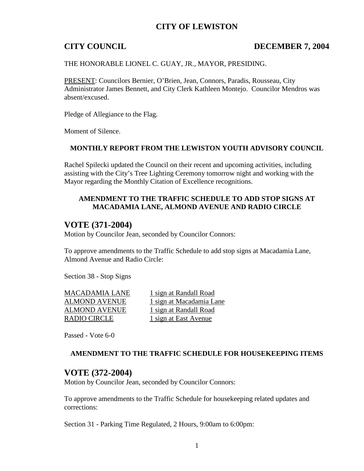# **CITY OF LEWISTON**

## **CITY COUNCIL DECEMBER 7, 2004**

THE HONORABLE LIONEL C. GUAY, JR., MAYOR, PRESIDING.

PRESENT: Councilors Bernier, O'Brien, Jean, Connors, Paradis, Rousseau, City Administrator James Bennett, and City Clerk Kathleen Montejo. Councilor Mendros was absent/excused.

Pledge of Allegiance to the Flag.

Moment of Silence.

### **MONTHLY REPORT FROM THE LEWISTON YOUTH ADVISORY COUNCIL**

Rachel Spilecki updated the Council on their recent and upcoming activities, including assisting with the City's Tree Lighting Ceremony tomorrow night and working with the Mayor regarding the Monthly Citation of Excellence recognitions.

### **AMENDMENT TO THE TRAFFIC SCHEDULE TO ADD STOP SIGNS AT MACADAMIA LANE, ALMOND AVENUE AND RADIO CIRCLE**

## **VOTE (371-2004)**

Motion by Councilor Jean, seconded by Councilor Connors:

To approve amendments to the Traffic Schedule to add stop signs at Macadamia Lane, Almond Avenue and Radio Circle:

Section 38 - Stop Signs

ALMOND AVENUE 1 sign at Randall Road RADIO CIRCLE 1 sign at East Avenue

MACADAMIA LANE 1 sign at Randall Road ALMOND AVENUE 1 sign at Macadamia Lane

Passed - Vote 6-0

### **AMENDMENT TO THE TRAFFIC SCHEDULE FOR HOUSEKEEPING ITEMS**

# **VOTE (372-2004)**

Motion by Councilor Jean, seconded by Councilor Connors:

To approve amendments to the Traffic Schedule for housekeeping related updates and corrections:

Section 31 - Parking Time Regulated, 2 Hours, 9:00am to 6:00pm: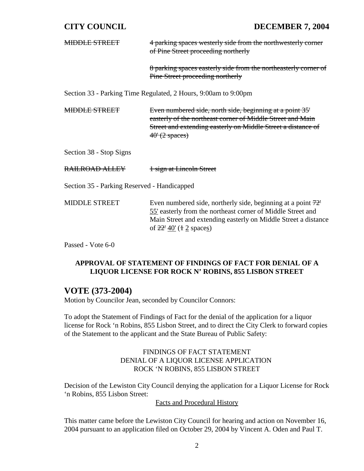# **CITY COUNCIL DECEMBER 7, 2004**

| <del>MIDDLE STREET</del>                                       | 4 parking spaces westerly side from the northwesterly corner                                                                                                                                                                          |  |
|----------------------------------------------------------------|---------------------------------------------------------------------------------------------------------------------------------------------------------------------------------------------------------------------------------------|--|
|                                                                | of Pine Street proceeding northerly                                                                                                                                                                                                   |  |
|                                                                | 8 parking spaces easterly side from the northeasterly corner of<br>Pine Street proceeding northerly                                                                                                                                   |  |
| Section 33 - Parking Time Regulated, 2 Hours, 9:00am to 9:00pm |                                                                                                                                                                                                                                       |  |
| <del>MIDDLE STREET</del>                                       | Even numbered side, north side, beginning at a point 35'<br>easterly of the northeast corner of Middle Street and Main<br>Street and extending easterly on Middle Street a distance of<br>$40'(2$ spaces)                             |  |
| Section 38 - Stop Signs                                        |                                                                                                                                                                                                                                       |  |
| <del>RAILROAD ALLEY</del>                                      | 1 sign at Lincoln Street                                                                                                                                                                                                              |  |
| Section 35 - Parking Reserved - Handicapped                    |                                                                                                                                                                                                                                       |  |
| <b>MIDDLE STREET</b>                                           | Even numbered side, northerly side, beginning at a point $72^{\circ}$<br>55' easterly from the northeast corner of Middle Street and<br>Main Street and extending easterly on Middle Street a distance<br>of $22'$ $40'$ (1 2 spaces) |  |

Passed - Vote 6-0

## **APPROVAL OF STATEMENT OF FINDINGS OF FACT FOR DENIAL OF A LIQUOR LICENSE FOR ROCK N' ROBINS, 855 LISBON STREET**

# **VOTE (373-2004)**

Motion by Councilor Jean, seconded by Councilor Connors:

To adopt the Statement of Findings of Fact for the denial of the application for a liquor license for Rock 'n Robins, 855 Lisbon Street, and to direct the City Clerk to forward copies of the Statement to the applicant and the State Bureau of Public Safety:

## FINDINGS OF FACT STATEMENT DENIAL OF A LIQUOR LICENSE APPLICATION ROCK 'N ROBINS, 855 LISBON STREET

Decision of the Lewiston City Council denying the application for a Liquor License for Rock 'n Robins, 855 Lisbon Street:

Facts and Procedural History

This matter came before the Lewiston City Council for hearing and action on November 16, 2004 pursuant to an application filed on October 29, 2004 by Vincent A. Oden and Paul T.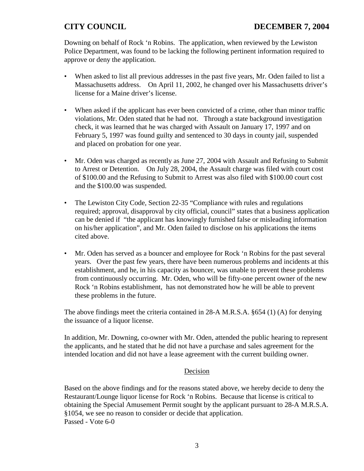Downing on behalf of Rock 'n Robins. The application, when reviewed by the Lewiston Police Department, was found to be lacking the following pertinent information required to approve or deny the application.

- When asked to list all previous addresses in the past five years, Mr. Oden failed to list a Massachusetts address. On April 11, 2002, he changed over his Massachusetts driver's license for a Maine driver's license.
- When asked if the applicant has ever been convicted of a crime, other than minor traffic violations, Mr. Oden stated that he had not. Through a state background investigation check, it was learned that he was charged with Assault on January 17, 1997 and on February 5, 1997 was found guilty and sentenced to 30 days in county jail, suspended and placed on probation for one year.
- Mr. Oden was charged as recently as June 27, 2004 with Assault and Refusing to Submit to Arrest or Detention. On July 28, 2004, the Assault charge was filed with court cost of \$100.00 and the Refusing to Submit to Arrest was also filed with \$100.00 court cost and the \$100.00 was suspended.
- The Lewiston City Code, Section 22-35 "Compliance with rules and regulations required; approval, disapproval by city official, council" states that a business application can be denied if "the applicant has knowingly furnished false or misleading information on his/her application", and Mr. Oden failed to disclose on his applications the items cited above.
- Mr. Oden has served as a bouncer and employee for Rock 'n Robins for the past several years. Over the past few years, there have been numerous problems and incidents at this establishment, and he, in his capacity as bouncer, was unable to prevent these problems from continuously occurring. Mr. Oden, who will be fifty-one percent owner of the new Rock 'n Robins establishment, has not demonstrated how he will be able to prevent these problems in the future.

The above findings meet the criteria contained in 28-A M.R.S.A. §654 (1) (A) for denying the issuance of a liquor license.

In addition, Mr. Downing, co-owner with Mr. Oden, attended the public hearing to represent the applicants, and he stated that he did not have a purchase and sales agreement for the intended location and did not have a lease agreement with the current building owner.

## Decision

Based on the above findings and for the reasons stated above, we hereby decide to deny the Restaurant/Lounge liquor license for Rock 'n Robins. Because that license is critical to obtaining the Special Amusement Permit sought by the applicant pursuant to 28-A M.R.S.A. §1054, we see no reason to consider or decide that application. Passed - Vote 6-0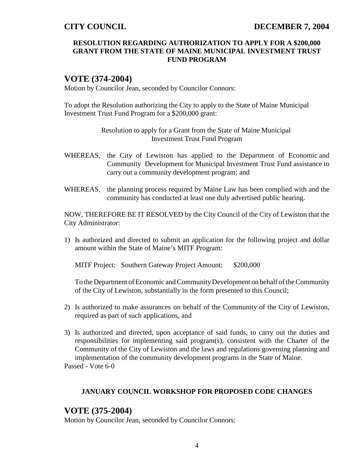## **RESOLUTION REGARDING AUTHORIZATION TO APPLY FOR A \$200,000 GRANT FROM THE STATE OF MAINE MUNICIPAL INVESTMENT TRUST FUND PROGRAM**

# **VOTE (374-2004)**

Motion by Councilor Jean, seconded by Councilor Connors:

To adopt the Resolution authorizing the City to apply to the State of Maine Municipal Investment Trust Fund Program for a \$200,000 grant:

> Resolution to apply for a Grant from the State of Maine Municipal Investment Trust Fund Program

- WHEREAS, the City of Lewiston has applied to the Department of Economic and Community Development for Municipal Investment Trust Fund assistance to carry out a community development program; and
- WHEREAS, the planning process required by Maine Law has been complied with and the community has conducted at least one duly advertised public hearing.

NOW, THEREFORE BE IT RESOLVED by the City Council of the City of Lewiston that the City Administrator:

1) Is authorized and directed to submit an application for the following project and dollar amount within the State of Maine's MITF Program:

MITF Project: Southern Gateway Project Amount: \$200,000

To the Department of Economic and Community Development on behalf of the Community of the City of Lewiston, substantially in the form presented to this Council;

- 2) Is authorized to make assurances on behalf of the Community of the City of Lewiston, required as part of such applications, and
- 3) Is authorized and directed, upon acceptance of said funds, to carry out the duties and responsibilities for implementing said program(s), consistent with the Charter of the Community of the City of Lewiston and the laws and regulations governing planning and implementation of the community development programs in the State of Maine. Passed - Vote 6-0

### **JANUARY COUNCIL WORKSHOP FOR PROPOSED CODE CHANGES**

## **VOTE (375-2004)**

Motion by Councilor Jean, seconded by Councilor Connors: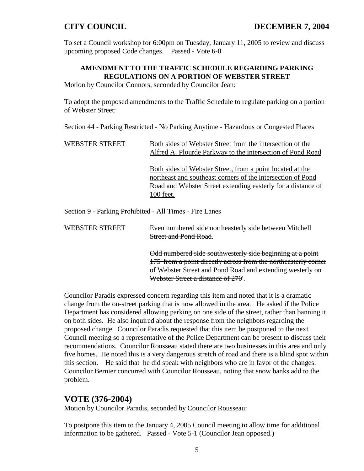To set a Council workshop for 6:00pm on Tuesday, January 11, 2005 to review and discuss upcoming proposed Code changes. Passed - Vote 6-0

# **AMENDMENT TO THE TRAFFIC SCHEDULE REGARDING PARKING REGULATIONS ON A PORTION OF WEBSTER STREET**

Motion by Councilor Connors, seconded by Councilor Jean:

To adopt the proposed amendments to the Traffic Schedule to regulate parking on a portion of Webster Street:

Section 44 - Parking Restricted - No Parking Anytime - Hazardous or Congested Places

| WEBSTER STREET                                          | Both sides of Webster Street from the intersection of the<br>Alfred A. Plourde Parkway to the intersection of Pond Road                                                                                      |  |
|---------------------------------------------------------|--------------------------------------------------------------------------------------------------------------------------------------------------------------------------------------------------------------|--|
|                                                         | <u>Both sides of Webster Street, from a point located at the</u><br>northeast and southeast corners of the intersection of Pond<br>Road and Webster Street extending easterly for a distance of<br>100 feet. |  |
| Section 9 - Parking Prohibited - All Times - Fire Lanes |                                                                                                                                                                                                              |  |
| WEBSTER STREET                                          | Even numbered side northeasterly side between Mitchell<br>Street and Pond Road                                                                                                                               |  |

Odd numbered side southwesterly side beginning at a point 175' from a point directly across from the northeasterly corner of Webster Street and Pond Road and extending westerly on Webster Street a distance of 270'.

Councilor Paradis expressed concern regarding this item and noted that it is a dramatic change from the on-street parking that is now allowed in the area. He asked if the Police Department has considered allowing parking on one side of the street, rather than banning it on both sides. He also inquired about the response from the neighbors regarding the proposed change. Councilor Paradis requested that this item be postponed to the next Council meeting so a representative of the Police Department can be present to discuss their recommendations. Councilor Rousseau stated there are two businesses in this area and only five homes. He noted this is a very dangerous stretch of road and there is a blind spot within this section. He said that he did speak with neighbors who are in favor of the changes. Councilor Bernier concurred with Councilor Rousseau, noting that snow banks add to the problem.

# **VOTE (376-2004)**

Motion by Councilor Paradis, seconded by Councilor Rousseau:

To postpone this item to the January 4, 2005 Council meeting to allow time for additional information to be gathered. Passed - Vote 5-1 (Councilor Jean opposed.)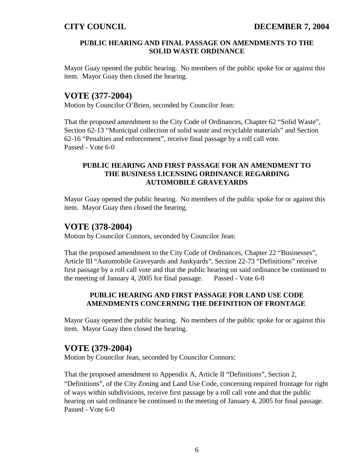### **PUBLIC HEARING AND FINAL PASSAGE ON AMENDMENTS TO THE SOLID WASTE ORDINANCE**

Mayor Guay opened the public hearing. No members of the public spoke for or against this item. Mayor Guay then closed the hearing.

# **VOTE (377-2004)**

Motion by Councilor O'Brien, seconded by Councilor Jean:

That the proposed amendment to the City Code of Ordinances, Chapter 62 "Solid Waste", Section 62-13 "Municipal collection of solid waste and recyclable materials" and Section 62-16 "Penalties and enforcement", receive final passage by a roll call vote. Passed - Vote 6-0

## **PUBLIC HEARING AND FIRST PASSAGE FOR AN AMENDMENT TO THE BUSINESS LICENSING ORDINANCE REGARDING AUTOMOBILE GRAVEYARDS**

Mayor Guay opened the public hearing. No members of the public spoke for or against this item. Mayor Guay then closed the hearing.

# **VOTE (378-2004)**

Motion by Councilor Connors, seconded by Councilor Jean:

That the proposed amendment to the City Code of Ordinances, Chapter 22 "Businesses", Article III "Automobile Graveyards and Junkyards", Section 22-73 "Definitions" receive first passage by a roll call vote and that the public hearing on said ordinance be continued to the meeting of January 4, 2005 for final passage. Passed - Vote 6-0

## **PUBLIC HEARING AND FIRST PASSAGE FOR LAND USE CODE AMENDMENTS CONCERNING THE DEFINITION OF FRONTAGE**

Mayor Guay opened the public hearing. No members of the public spoke for or against this item. Mayor Guay then closed the hearing.

# **VOTE (379-2004)**

Motion by Councilor Jean, seconded by Councilor Connors:

That the proposed amendment to Appendix A, Article II "Definitions", Section 2, "Definitions", of the City Zoning and Land Use Code, concerning required frontage for right of ways within subdivisions, receive first passage by a roll call vote and that the public hearing on said ordinance be continued to the meeting of January 4, 2005 for final passage. Passed - Vote 6-0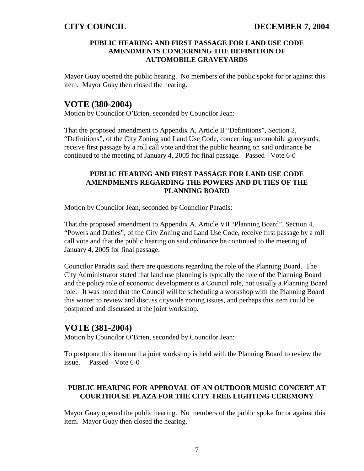## **PUBLIC HEARING AND FIRST PASSAGE FOR LAND USE CODE AMENDMENTS CONCERNING THE DEFINITION OF AUTOMOBILE GRAVEYARDS**

Mayor Guay opened the public hearing. No members of the public spoke for or against this item. Mayor Guay then closed the hearing.

# **VOTE (380-2004)**

Motion by Councilor O'Brien, seconded by Councilor Jean:

That the proposed amendment to Appendix A, Article II "Definitions", Section 2, "Definitions", of the City Zoning and Land Use Code, concerning automobile graveyards, receive first passage by a roll call vote and that the public hearing on said ordinance be continued to the meeting of January 4, 2005 for final passage. Passed - Vote 6-0

## **PUBLIC HEARING AND FIRST PASSAGE FOR LAND USE CODE AMENDMENTS REGARDING THE POWERS AND DUTIES OF THE PLANNING BOARD**

Motion by Councilor Jean, seconded by Councilor Paradis:

That the proposed amendment to Appendix A, Article VII "Planning Board", Section 4, "Powers and Duties", of the City Zoning and Land Use Code, receive first passage by a roll call vote and that the public hearing on said ordinance be continued to the meeting of January 4, 2005 for final passage.

Councilor Paradis said there are questions regarding the role of the Planning Board. The City Administrator stated that land use planning is typically the role of the Planning Board and the policy role of economic development is a Council role, not usually a Planning Board role. It was noted that the Council will be scheduling a workshop with the Planning Board this winter to review and discuss citywide zoning issues, and perhaps this item could be postponed and discussed at the joint workshop.

# **VOTE (381-2004)**

Motion by Councilor O'Brien, seconded by Councilor Jean:

To postpone this item until a joint workshop is held with the Planning Board to review the issue. Passed - Vote 6-0

## **PUBLIC HEARING FOR APPROVAL OF AN OUTDOOR MUSIC CONCERT AT COURTHOUSE PLAZA FOR THE CITY TREE LIGHTING CEREMONY**

Mayor Guay opened the public hearing. No members of the public spoke for or against this item. Mayor Guay then closed the hearing.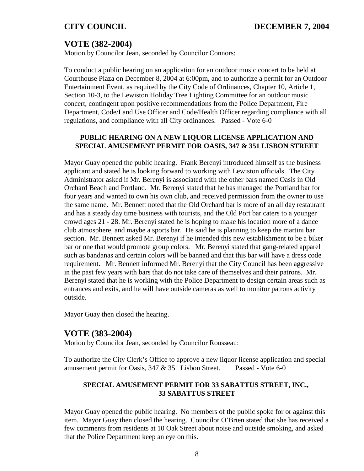# **VOTE (382-2004)**

Motion by Councilor Jean, seconded by Councilor Connors:

To conduct a public hearing on an application for an outdoor music concert to be held at Courthouse Plaza on December 8, 2004 at 6:00pm, and to authorize a permit for an Outdoor Entertainment Event, as required by the City Code of Ordinances, Chapter 10, Article 1, Section 10-3, to the Lewiston Holiday Tree Lighting Committee for an outdoor music concert, contingent upon positive recommendations from the Police Department, Fire Department, Code/Land Use Officer and Code/Health Officer regarding compliance with all regulations, and compliance with all City ordinances. Passed - Vote 6-0

### **PUBLIC HEARING ON A NEW LIQUOR LICENSE APPLICATION AND SPECIAL AMUSEMENT PERMIT FOR OASIS, 347 & 351 LISBON STREET**

Mayor Guay opened the public hearing. Frank Berenyi introduced himself as the business applicant and stated he is looking forward to working with Lewiston officials. The City Administrator asked if Mr. Berenyi is associated with the other bars named Oasis in Old Orchard Beach and Portland. Mr. Berenyi stated that he has managed the Portland bar for four years and wanted to own his own club, and received permission from the owner to use the same name. Mr. Bennett noted that the Old Orchard bar is more of an all day restaurant and has a steady day time business with tourists, and the Old Port bar caters to a younger crowd ages 21 - 28. Mr. Berenyi stated he is hoping to make his location more of a dance club atmosphere, and maybe a sports bar. He said he is planning to keep the martini bar section. Mr. Bennett asked Mr. Berenyi if he intended this new establishment to be a biker bar or one that would promote group colors. Mr. Berenyi stated that gang-related apparel such as bandanas and certain colors will be banned and that this bar will have a dress code requirement. Mr. Bennett informed Mr. Berenyi that the City Council has been aggressive in the past few years with bars that do not take care of themselves and their patrons. Mr. Berenyi stated that he is working with the Police Department to design certain areas such as entrances and exits, and he will have outside cameras as well to monitor patrons activity outside.

Mayor Guay then closed the hearing.

# **VOTE (383-2004)**

Motion by Councilor Jean, seconded by Councilor Rousseau:

To authorize the City Clerk's Office to approve a new liquor license application and special amusement permit for Oasis, 347 & 351 Lisbon Street. Passed - Vote 6-0

## **SPECIAL AMUSEMENT PERMIT FOR 33 SABATTUS STREET, INC., 33 SABATTUS STREET**

Mayor Guay opened the public hearing. No members of the public spoke for or against this item. Mayor Guay then closed the hearing. Councilor O'Brien stated that she has received a few comments from residents at 10 Oak Street about noise and outside smoking, and asked that the Police Department keep an eye on this.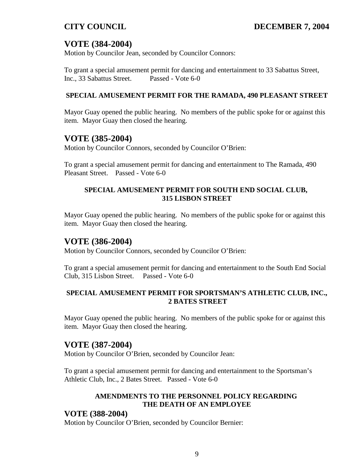# **VOTE (384-2004)**

Motion by Councilor Jean, seconded by Councilor Connors:

To grant a special amusement permit for dancing and entertainment to 33 Sabattus Street, Inc., 33 Sabattus Street. Passed - Vote 6-0

## **SPECIAL AMUSEMENT PERMIT FOR THE RAMADA, 490 PLEASANT STREET**

Mayor Guay opened the public hearing. No members of the public spoke for or against this item. Mayor Guay then closed the hearing.

# **VOTE (385-2004)**

Motion by Councilor Connors, seconded by Councilor O'Brien:

To grant a special amusement permit for dancing and entertainment to The Ramada, 490 Pleasant Street. Passed - Vote 6-0

## **SPECIAL AMUSEMENT PERMIT FOR SOUTH END SOCIAL CLUB, 315 LISBON STREET**

Mayor Guay opened the public hearing. No members of the public spoke for or against this item. Mayor Guay then closed the hearing.

# **VOTE (386-2004)**

Motion by Councilor Connors, seconded by Councilor O'Brien:

To grant a special amusement permit for dancing and entertainment to the South End Social Club, 315 Lisbon Street. Passed - Vote 6-0

## **SPECIAL AMUSEMENT PERMIT FOR SPORTSMAN'S ATHLETIC CLUB, INC., 2 BATES STREET**

Mayor Guay opened the public hearing. No members of the public spoke for or against this item. Mayor Guay then closed the hearing.

# **VOTE (387-2004)**

Motion by Councilor O'Brien, seconded by Councilor Jean:

To grant a special amusement permit for dancing and entertainment to the Sportsman's Athletic Club, Inc., 2 Bates Street. Passed - Vote 6-0

## **AMENDMENTS TO THE PERSONNEL POLICY REGARDING THE DEATH OF AN EMPLOYEE**

# **VOTE (388-2004)**

Motion by Councilor O'Brien, seconded by Councilor Bernier: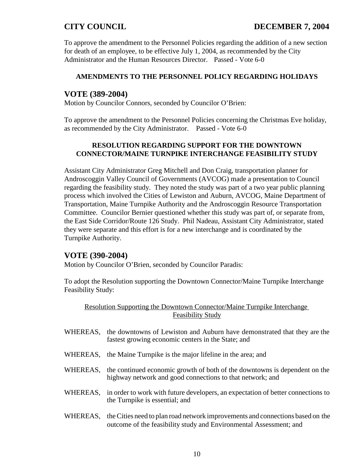To approve the amendment to the Personnel Policies regarding the addition of a new section for death of an employee, to be effective July 1, 2004, as recommended by the City Administrator and the Human Resources Director. Passed - Vote 6-0

## **AMENDMENTS TO THE PERSONNEL POLICY REGARDING HOLIDAYS**

## **VOTE (389-2004)**

Motion by Councilor Connors, seconded by Councilor O'Brien:

To approve the amendment to the Personnel Policies concerning the Christmas Eve holiday, as recommended by the City Administrator. Passed - Vote 6-0

## **RESOLUTION REGARDING SUPPORT FOR THE DOWNTOWN CONNECTOR/MAINE TURNPIKE INTERCHANGE FEASIBILITY STUDY**

Assistant City Administrator Greg Mitchell and Don Craig, transportation planner for Androscoggin Valley Council of Governments (AVCOG) made a presentation to Council regarding the feasibility study. They noted the study was part of a two year public planning process which involved the Cities of Lewiston and Auburn, AVCOG, Maine Department of Transportation, Maine Turnpike Authority and the Androscoggin Resource Transportation Committee. Councilor Bernier questioned whether this study was part of, or separate from, the East Side Corridor/Route 126 Study. Phil Nadeau, Assistant City Administrator, stated they were separate and this effort is for a new interchange and is coordinated by the Turnpike Authority.

# **VOTE (390-2004)**

Motion by Councilor O'Brien, seconded by Councilor Paradis:

To adopt the Resolution supporting the Downtown Connector/Maine Turnpike Interchange Feasibility Study:

Resolution Supporting the Downtown Connector/Maine Turnpike Interchange Feasibility Study

- WHEREAS, the downtowns of Lewiston and Auburn have demonstrated that they are the fastest growing economic centers in the State; and
- WHEREAS, the Maine Turnpike is the major lifeline in the area; and
- WHEREAS, the continued economic growth of both of the downtowns is dependent on the highway network and good connections to that network; and
- WHEREAS, in order to work with future developers, an expectation of better connections to the Turnpike is essential; and
- WHEREAS, the Cities need to plan road network improvements and connections based on the outcome of the feasibility study and Environmental Assessment; and